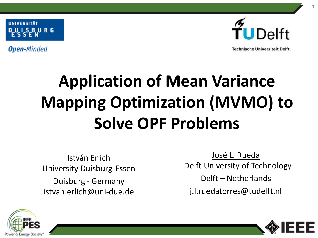**Open-Minded** 



**Technische Universiteit Delft** 

# **Application of Mean Variance Mapping Optimization (MVMO) to Solve OPF Problems**

István Erlich University Duisburg-Essen Duisburg - Germany istvan.erlich@uni-due.de

José L. Rueda Delft University of Technology Delft – Netherlands j.l.ruedatorres@tudelft.nl





1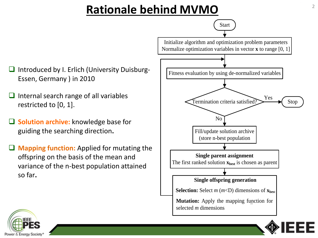# Rationale behind MVMO<br>
<sup>2</sup>

- $\Box$  Introduced by I. Erlich (University Duisburg-Essen, Germany ) in 2010
- $\Box$  Internal search range of all variables restricted to [0, 1].
- **Solution archive:** knowledge base for guiding the searching direction**.**
- **Mapping function:** Applied for mutating the offspring on the basis of the mean and variance of the n-best population attained so far**.**



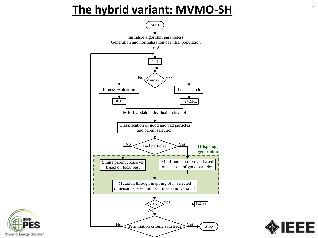#### **The hybrid variant: MVMO-SH**





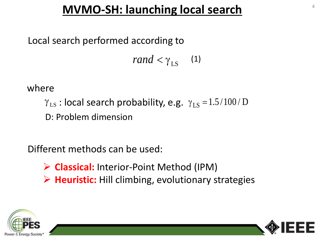# **MVMO-SH: launching local search** <sup>4</sup>

#### Local search performed according to

*rand*  $< \gamma_{LS}$  (1)

where

 $\gamma_{LS}$ : local search probability, e.g.  $\gamma_{LS} = 1.5 / 100 / D$ D: Problem dimension

Different methods can be used:

- **Classical:** Interior-Point Method (IPM)
- **Heuristic:** Hill climbing, evolutionary strategies



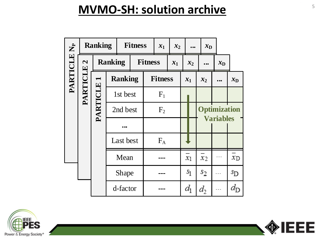#### **MVMO-SH: solution archive** 5

|                         |                                       | <b>Ranking</b>                    |                | <b>Fitness</b> |  |                | $x_1$ | $x_2$ |       |       |                                         | $x_{D}$             |         |             |
|-------------------------|---------------------------------------|-----------------------------------|----------------|----------------|--|----------------|-------|-------|-------|-------|-----------------------------------------|---------------------|---------|-------------|
| PARTICLE N <sub>P</sub> | $\boldsymbol{\mathsf{z}}$<br>PARTICLE |                                   | <b>Ranking</b> |                |  | <b>Fitness</b> |       | $x_1$ | $x_2$ |       |                                         | $\bullet$ $\bullet$ | $x_{D}$ |             |
|                         |                                       | $\blacktriangleright$<br>PARTICLE | <b>Ranking</b> |                |  | <b>Fitness</b> |       |       | $x_1$ |       |                                         | $x_2$               |         | $x_{D}$     |
|                         |                                       |                                   | 1st best       |                |  | $F_1$          |       |       |       |       |                                         |                     |         |             |
|                         |                                       |                                   | 2nd best       |                |  | F <sub>2</sub> |       |       |       |       | <b>Optimization</b><br><b>Variables</b> |                     |         |             |
|                         |                                       |                                   |                |                |  |                |       |       |       |       |                                         |                     |         |             |
|                         |                                       |                                   | Last best      |                |  | $F_A$          |       |       |       |       |                                         |                     |         |             |
|                         |                                       |                                   | Mean           |                |  |                |       |       | $x_1$ |       |                                         | $x_2$               |         | $x_{\rm D}$ |
|                         |                                       |                                   | Shape          |                |  |                |       |       | $s_1$ |       |                                         | $s_2$               |         | SD          |
|                         |                                       | d-factor                          |                |                |  |                |       | $d_1$ |       | $d_2$ |                                         |                     |         |             |



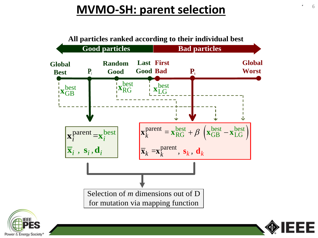# **MVMO-SH: parent selection**





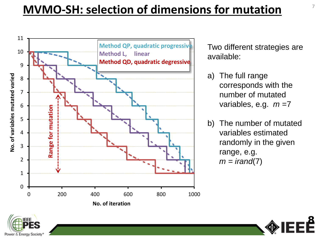# **MVMO-SH: selection of dimensions for mutation** <sup>7</sup>



Two different strategies are available:

- a) The full range corresponds with the number of mutated variables, e.g. *m* =7
- b) The number of mutated variables estimated randomly in the given range, e.g.  $m = irand(7)$

**8**

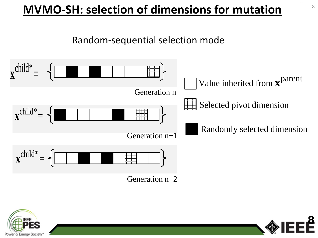# **MVMO-SH: selection of dimensions for mutation** <sup>8</sup>



Power & Energy So

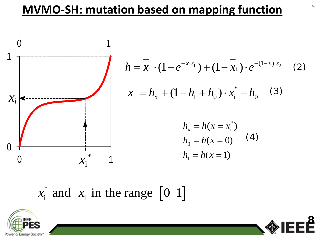# **MVMO-SH: mutation based on mapping function**



$$
h = \overline{x_i} \cdot (1 - e^{-x \cdot s_1}) + (1 - \overline{x_i}) \cdot e^{-(1 - x) \cdot s_2} \quad (2)
$$
  

$$
x_i = h_x + (1 - h_1 + h_0) \cdot x_i^* - h_0 \quad (3)
$$
  

$$
h_x = h(x = x_i^*)
$$
  

$$
h_0 = h(x = 0) \quad (4)
$$
  

$$
h_1 = h(x = 1)
$$

 $x_i^*$  and  $x_i$  in the range  $\begin{bmatrix} 0 & 1 \end{bmatrix}$ 



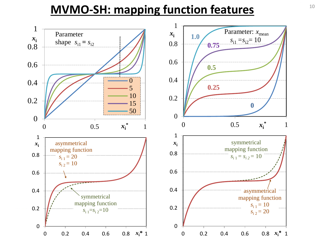#### **MVMO-SH: mapping function features** 10

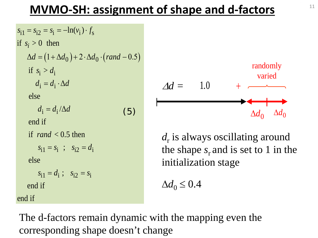# **MVMO-SH: assignment of shape and d-factors** <sup>11</sup>

 $\Delta d = (1 + \Delta d_0) + 2 \cdot \Delta d_0 \cdot (rand - 0.5)$  $s_{i1} = s_{i2} = s_i = -\ln(v_i) \cdot f_s$ if  $s_i > d_i$  $d_i = d_i \cdot \Delta d$  $d_i = d_i/\Delta d$  $s_{i1} = s_i$ ;  $s_{i2} = d_i$  $s_{i1} = d_i$ ;  $s_{i2} = s_i$ if  $s_i > 0$  then else end if if  $rand < 0.5$  then else end if end if (5)



d<sub>r</sub> is always oscillating around the shape  $s_r$  and is set to 1 in the initialization stage

 $\Delta d_0 \leq 0.4$ 

The d-factors remain dynamic with the mapping even the corresponding shape doesn't change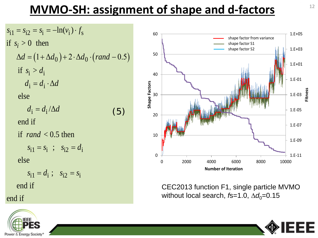# **MVMO-SH: assignment of shape and d-factors**

 $\Delta d = (1 + \Delta d_0) + 2 \cdot \Delta d_0 \cdot (rand - 0.5)$  $s_{i1} = s_{i2} = s_i = -\ln(v_i) \cdot f_s$ if  $s_i > d_i$  $d_i = d_i \cdot \Delta d$  $d_i = d_i/\Delta d$  $s_{i1} = s_i$ ;  $s_{i2} = d_i$  $s_{i1} = d_i$ ;  $s_{i2} = s_i$ if  $s_i > 0$  then else end if if  $rand < 0.5$  then else end if end if (5)





CEC2013 function F1, single particle MVMO without local search, *f*s=1.0, ∆*d*<sub>0</sub>=0.15